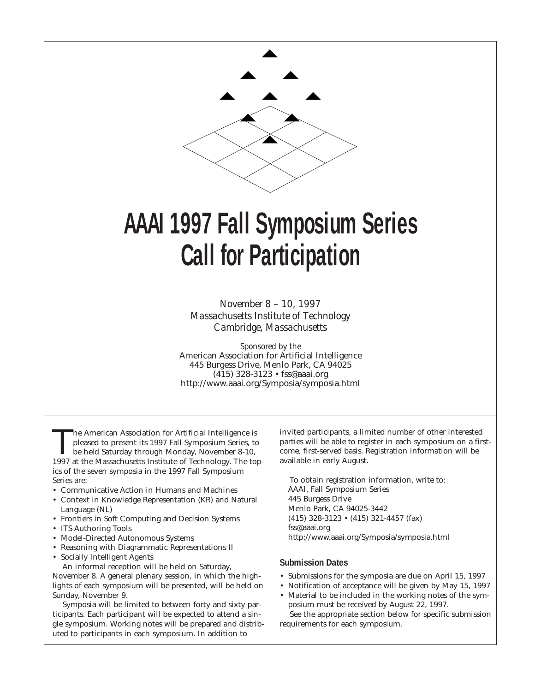

# **AAAI 1997 Fall Symposium Series Call for Participation**

*November 8 – 10, 1997 Massachusetts Institute of Technology Cambridge, Massachusetts*

*Sponsored by the* American Association for Artificial Intelligence 445 Burgess Drive, Menlo Park, CA 94025 (415) 328-3123 • fss@aaai.org http://www.aaai.org/Symposia/symposia.html

The American Association for Artificial Intelligence is<br>pleased to present its 1997 Fall Symposium Series, to<br>be held Saturday through Monday, November 8-10,<br>1997 at the Massachusetts Institute of Technology. The to pleased to present its 1997 Fall Symposium Series, to 1997 at the Massachusetts Institute of Technology. The topics of the seven symposia in the 1997 Fall Symposium Series are:

- Communicative Action in Humans and Machines
- Context in Knowledge Representation (KR) and Natural Language (NL)
- Frontiers in Soft Computing and Decision Systems
- ITS Authoring Tools
- Model-Directed Autonomous Systems
- Reasoning with Diagrammatic Representations II
- Socially Intelligent Agents

An informal reception will be held on Saturday, November 8. A general plenary session, in which the highlights of each symposium will be presented, will be held on Sunday, November 9.

Symposia will be limited to between forty and sixty participants. Each participant will be expected to attend a single symposium. Working notes will be prepared and distributed to participants in each symposium. In addition to

invited participants, a limited number of other interested parties will be able to register in each symposium on a firstcome, first-served basis. Registration information will be available in early August.

To obtain registration information, write to: AAAI, Fall Symposium Series 445 Burgess Drive Menlo Park, CA 94025-3442 (415) 328-3123 • (415) 321-4457 (fax) fss@aaai.org http://www.aaai.org/Symposia/symposia.html

#### **Submission Dates**

- Submissions for the symposia are due on April 15, 1997
- Notification of acceptance will be given by May 15, 1997
- Material to be included in the working notes of the symposium must be received by August 22, 1997.

See the appropriate section below for specific submission requirements for each symposium.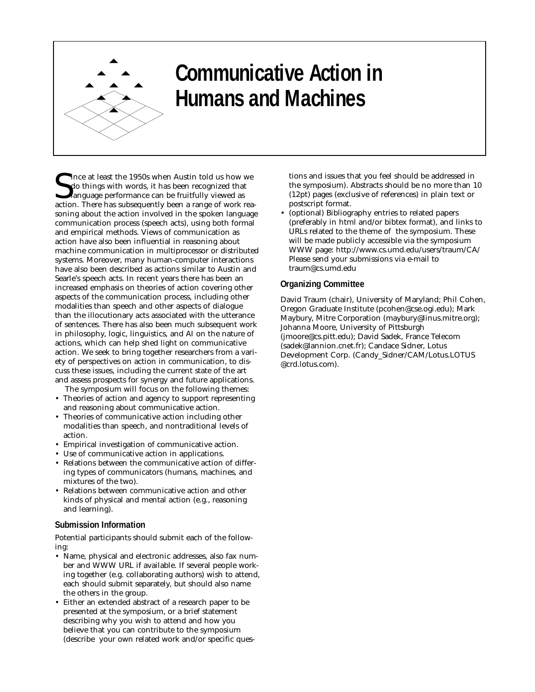

# **Communicative Action in Humans and Machines**

Since at least the 1950s when Austin told us how we do things with words, it has been recognized that language performance can be fruitfully viewed as action. There has subsequently been a range of work rea-Ince at least the 1950s when Austin told us how we do things with words, it has been recognized that language performance can be fruitfully viewed as soning about the action involved in the spoken language communication process (speech acts), using both formal and empirical methods. Views of communication as action have also been influential in reasoning about machine communication in multiprocessor or distributed systems. Moreover, many human-computer interactions have also been described as actions similar to Austin and Searle's speech acts. In recent years there has been an increased emphasis on theories of action covering other aspects of the communication process, including other modalities than speech and other aspects of dialogue than the illocutionary acts associated with the utterance of sentences. There has also been much subsequent work in philosophy, logic, linguistics, and AI on the nature of actions, which can help shed light on communicative action. We seek to bring together researchers from a variety of perspectives on action in communication, to discuss these issues, including the current state of the art and assess prospects for synergy and future applications.

- The symposium will focus on the following themes: • Theories of action and agency to support representing and reasoning about communicative action.
- Theories of communicative action including other modalities than speech, and nontraditional levels of action.
- Empirical investigation of communicative action.
- Use of communicative action in applications.
- Relations between the communicative action of differing types of communicators (humans, machines, and mixtures of the two).
- Relations between communicative action and other kinds of physical and mental action (e.g., reasoning and learning).

### **Submission Information**

Potential participants should submit each of the following:

- Name, physical and electronic addresses, also fax number and WWW URL if available. If several people working together (e.g. collaborating authors) wish to attend, each should submit separately, but should also name the others in the group.
- Either an extended abstract of a research paper to be presented at the symposium, or a brief statement describing why you wish to attend and how you believe that you can contribute to the symposium (describe your own related work and/or specific ques-

tions and issues that you feel should be addressed in the symposium). Abstracts should be no more than 10 (12pt) pages (exclusive of references) in plain text or postscript format.

• (optional) Bibliography entries to related papers (preferably in html and/or bibtex format), and links to URLs related to the theme of the symposium. These will be made publicly accessible via the symposium WWW page: http://www.cs.umd.edu/users/traum/CA/ Please send your submissions via e-mail to traum@cs.umd.edu

### **Organizing Committee**

David Traum (chair), University of Maryland; Phil Cohen, Oregon Graduate Institute (pcohen@cse.ogi.edu); Mark Maybury, Mitre Corporation (maybury@linus.mitre.org); Johanna Moore, University of Pittsburgh (jmoore@cs.pitt.edu); David Sadek, France Telecom (sadek@lannion.cnet.fr); Candace Sidner, Lotus Development Corp. (Candy\_Sidner/CAM/Lotus.LOTUS @crd.lotus.com).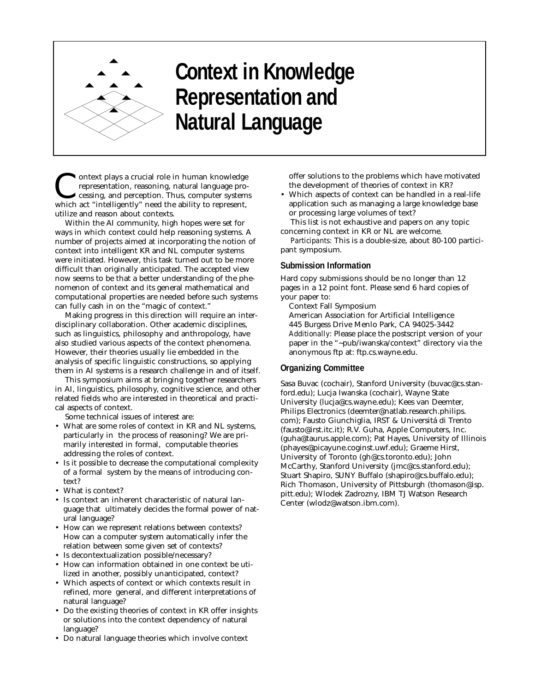

# **Context in Knowledge Representation and Natural Language**

ontext plays a crucial role in human knowledge representation, reasoning, natural language processing, and perception. Thus, computer systems which act "intelligently" need the ability to represent, utilize and reason about contexts.

Within the AI community, high hopes were set for ways in which context could help reasoning systems. A number of projects aimed at incorporating the notion of context into intelligent KR and NL computer systems were initiated. However, this task turned out to be more difficult than originally anticipated. The accepted view now seems to be that a better understanding of the phenomenon of context and its general mathematical and computational properties are needed before such systems can fully cash in on the "magic of context."

Making progress in this direction will require an interdisciplinary collaboration. Other academic disciplines, such as linguistics, philosophy and anthropology, have also studied various aspects of the context phenomena. However, their theories usually lie embedded in the analysis of specific linguistic constructions, so applying them in AI systems is a research challenge in and of itself.

This symposium aims at bringing together researchers in AI, linguistics, philosophy, cognitive science, and other related fields who are interested in theoretical and practical aspects of context.

Some technical issues of interest are:

- What are some roles of context in KR and NL systems, particularly in the process of reasoning? We are primarily interested in formal, computable theories addressing the roles of context.
- Is it possible to decrease the computational complexity of a formal system by the means of introducing context?
- What is context?
- Is context an inherent characteristic of natural language that ultimately decides the formal power of natural language?
- How can we represent relations between contexts? How can a computer system automatically infer the relation between some given set of contexts?
- Is decontextualization possible/necessary?
- How can information obtained in one context be utilized in another, possibly unanticipated, context?
- Which aspects of context or which contexts result in refined, more general, and different interpretations of natural language?
- Do the existing theories of context in KR offer insights or solutions into the context dependency of natural language?
- Do natural language theories which involve context

offer solutions to the problems which have motivated the development of theories of context in KR?

• Which aspects of context can be handled in a real-life application such as managing a large knowledge base or processing large volumes of text?

This list is not exhaustive and papers on any topic concerning context in KR or NL are welcome.

*Participants:* This is a double-size, about 80-100 participant symposium.

#### **Submission Information**

Hard copy submissions should be no longer than 12 pages in a 12 point font. Please send 6 hard copies of your paper to:

Context Fall Symposium

American Association for Artificial Intelligence 445 Burgess Drive Menlo Park, CA 94025-3442 *Additionally*: Please place the postscript version of your paper in the "~pub/iwanska/context" directory via the anonymous ftp at: ftp.cs.wayne.edu.

### **Organizing Committee**

Sasa Buvac (cochair), Stanford University (buvac@cs.stanford.edu); Lucja Iwanska (cochair), Wayne State University (lucja@cs.wayne.edu); Kees van Deemter, Philips Electronics (deemter@natlab.research.philips. com); Fausto Giunchiglia, IRST & Universitá di Trento (fausto@irst.itc.it); R.V. Guha, Apple Computers, Inc. (guha@taurus.apple.com); Pat Hayes, University of Illinois (phayes@picayune.coginst.uwf.edu); Graeme Hirst, University of Toronto (gh@cs.toronto.edu); John McCarthy, Stanford University (jmc@cs.stanford.edu); Stuart Shapiro, SUNY Buffalo (shapiro@cs.buffalo.edu); Rich Thomason, University of Pittsburgh (thomason@isp. pitt.edu); Wlodek Zadrozny, IBM TJ Watson Research Center (wlodz@watson.ibm.com).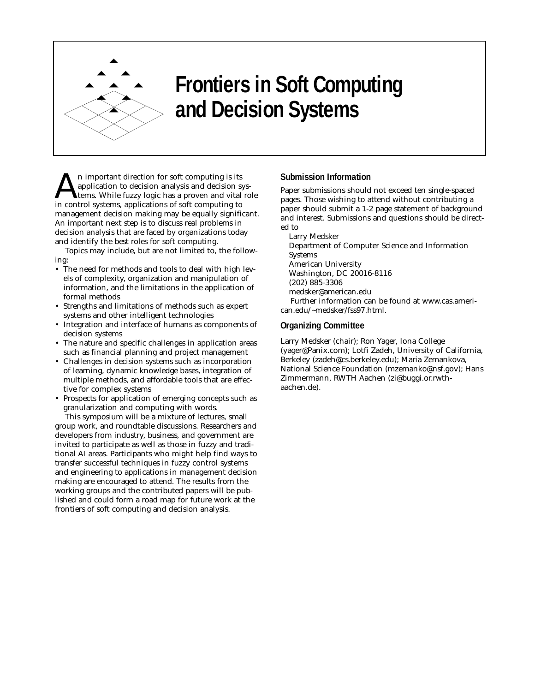

# **Frontiers in Soft Computing and Decision Systems**

n important direction for soft computing is its application to decision analysis and decision systems. While fuzzy logic has a proven and vital role in control systems, applications of soft computing to management decision making may be equally significant. An important next step is to discuss real problems in decision analysis that are faced by organizations today and identify the best roles for soft computing.

Topics may include, but are not limited to, the following:

- The need for methods and tools to deal with high levels of complexity, organization and manipulation of information, and the limitations in the application of formal methods
- Strengths and limitations of methods such as expert systems and other intelligent technologies
- Integration and interface of humans as components of decision systems
- The nature and specific challenges in application areas such as financial planning and project management
- Challenges in decision systems such as incorporation of learning, dynamic knowledge bases, integration of multiple methods, and affordable tools that are effective for complex systems
- Prospects for application of emerging concepts such as granularization and computing with words.

This symposium will be a mixture of lectures, small group work, and roundtable discussions. Researchers and developers from industry, business, and government are invited to participate as well as those in fuzzy and traditional AI areas. Participants who might help find ways to transfer successful techniques in fuzzy control systems and engineering to applications in management decision making are encouraged to attend. The results from the working groups and the contributed papers will be published and could form a road map for future work at the frontiers of soft computing and decision analysis.

## **Submission Information**

Paper submissions should not exceed ten single-spaced pages. Those wishing to attend without contributing a paper should submit a 1-2 page statement of background and interest. Submissions and questions should be directed to

Larry Medsker

Department of Computer Science and Information Systems American University Washington, DC 20016-8116 (202) 885-3306 medsker@american.edu Further information can be found at www.cas.american.edu/~medsker/fss97.html.

### **Organizing Committee**

Larry Medsker (chair); Ron Yager, Iona College (yager@Panix.com); Lotfi Zadeh, University of California, Berkeley (zadeh@cs.berkeley.edu); Maria Zemankova, National Science Foundation (mzemanko@nsf.gov); Hans Zimmermann, RWTH Aachen (zi@buggi.or.rwthaachen.de).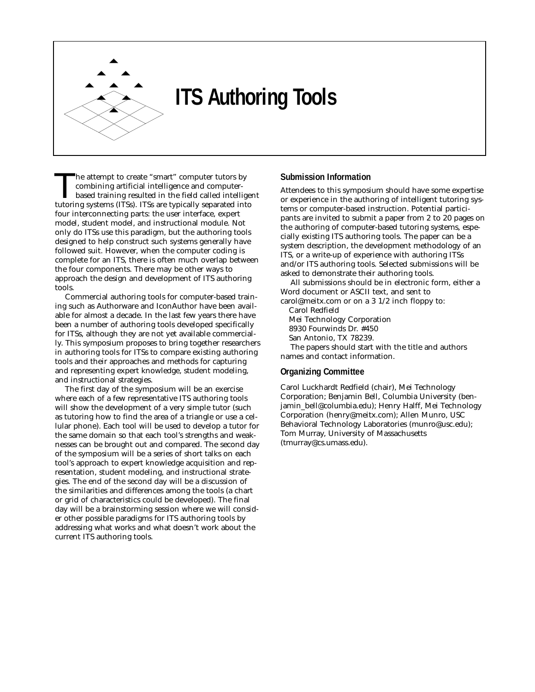

# **ITS Authoring Tools**

The attempt to create "smart" computer tutors by<br>
combining artificial intelligence and computer-<br>
based training resulted in the field called intelligent<br>
tutoring systems (ITSs). ITSs are typically senarated into combining artificial intelligence and computertutoring systems (ITSs). ITSs are typically separated into four interconnecting parts: the user interface, expert model, student model, and instructional module. Not only do ITSs use this paradigm, but the authoring tools designed to help construct such systems generally have followed suit. However, when the computer coding is complete for an ITS, there is often much overlap between the four components. There may be other ways to approach the design and development of ITS authoring tools.

Commercial authoring tools for computer-based training such as Authorware and IconAuthor have been available for almost a decade. In the last few years there have been a number of authoring tools developed specifically for ITSs, although they are not yet available commercially. This symposium proposes to bring together researchers in authoring tools for ITSs to compare existing authoring tools and their approaches and methods for capturing and representing expert knowledge, student modeling, and instructional strategies.

The first day of the symposium will be an exercise where each of a few representative ITS authoring tools will show the development of a very simple tutor (such as tutoring how to find the area of a triangle or use a cellular phone). Each tool will be used to develop a tutor for the same domain so that each tool's strengths and weaknesses can be brought out and compared. The second day of the symposium will be a series of short talks on each tool's approach to expert knowledge acquisition and representation, student modeling, and instructional strategies. The end of the second day will be a discussion of the similarities and differences among the tools (a chart or grid of characteristics could be developed). The final day will be a brainstorming session where we will consider other possible paradigms for ITS authoring tools by addressing what works and what doesn't work about the current ITS authoring tools.

## **Submission Information**

Attendees to this symposium should have some expertise or experience in the authoring of intelligent tutoring systems or computer-based instruction. Potential participants are invited to submit a paper from 2 to 20 pages on the authoring of computer-based tutoring systems, especially existing ITS authoring tools. The paper can be a system description, the development methodology of an ITS, or a write-up of experience with authoring ITSs and/or ITS authoring tools. Selected submissions will be asked to demonstrate their authoring tools.

All submissions should be in electronic form, either a Word document or ASCII text, and sent to

carol@meitx.com or on a 3 1/2 inch floppy to: Carol Redfield

Mei Technology Corporation

8930 Fourwinds Dr. #450

San Antonio, TX 78239.

The papers should start with the title and authors names and contact information.

### **Organizing Committee**

Carol Luckhardt Redfield (chair), Mei Technology Corporation; Benjamin Bell, Columbia University (benjamin\_bell@columbia.edu); Henry Halff, Mei Technology Corporation (henry@meitx.com); Allen Munro, USC Behavioral Technology Laboratories (munro@usc.edu); Tom Murray, University of Massachusetts (tmurray@cs.umass.edu).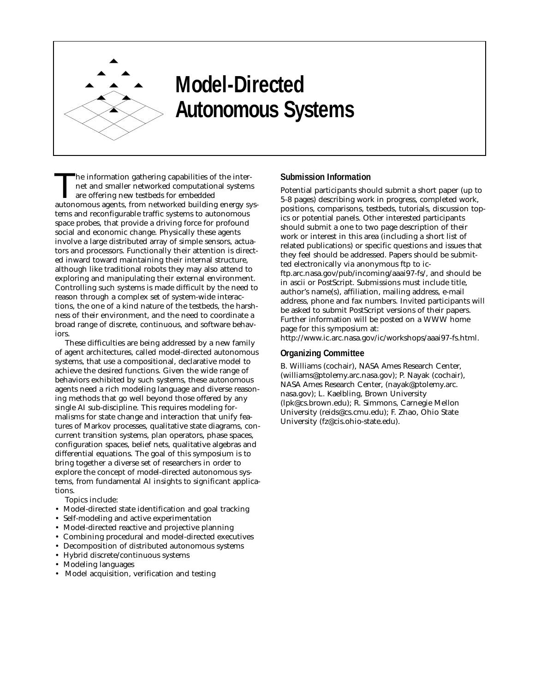

# **Model-Directed Autonomous Systems**

The information gathering capabilities of the internet and smaller networked computational systems are offering new testbeds for embedded autonomous agents, from networked building energy systems and reconfigurable traffic systems to autonomous space probes, that provide a driving force for profound social and economic change. Physically these agents involve a large distributed array of simple sensors, actuators and processors. Functionally their attention is directed inward toward maintaining their internal structure, although like traditional robots they may also attend to exploring and manipulating their external environment. Controlling such systems is made difficult by the need to reason through a complex set of system-wide interactions, the one of a kind nature of the testbeds, the harshness of their environment, and the need to coordinate a broad range of discrete, continuous, and software behaviors.

These difficulties are being addressed by a new family of agent architectures, called model-directed autonomous systems, that use a compositional, declarative model to achieve the desired functions. Given the wide range of behaviors exhibited by such systems, these autonomous agents need a rich modeling language and diverse reasoning methods that go well beyond those offered by any single AI sub-discipline. This requires modeling formalisms for state change and interaction that unify features of Markov processes, qualitative state diagrams, concurrent transition systems, plan operators, phase spaces, configuration spaces, belief nets, qualitative algebras and differential equations. The goal of this symposium is to bring together a diverse set of researchers in order to explore the concept of model-directed autonomous systems, from fundamental AI insights to significant applications.

Topics include:

- Model-directed state identification and goal tracking
- Self-modeling and active experimentation
- Model-directed reactive and projective planning
- Combining procedural and model-directed executives
- Decomposition of distributed autonomous systems
- Hybrid discrete/continuous systems
- Modeling languages
- Model acquisition, verification and testing

#### **Submission Information**

Potential participants should submit a short paper (up to 5-8 pages) describing work in progress, completed work, positions, comparisons, testbeds, tutorials, discussion topics or potential panels. Other interested participants should submit a one to two page description of their work or interest in this area (including a short list of related publications) or specific questions and issues that they feel should be addressed. Papers should be submitted electronically via anonymous ftp to icftp.arc.nasa.gov/pub/incoming/aaai97-fs/, and should be in ascii or PostScript. Submissions must include title, author's name(s), affiliation, mailing address, e-mail address, phone and fax numbers. Invited participants will be asked to submit PostScript versions of their papers. Further information will be posted on a WWW home page for this symposium at:

http://www.ic.arc.nasa.gov/ic/workshops/aaai97-fs.html.

#### **Organizing Committee**

B. Williams (cochair), NASA Ames Research Center, (williams@ptolemy.arc.nasa.gov); P. Nayak (cochair), NASA Ames Research Center, (nayak@ptolemy.arc. nasa.gov); L. Kaelbling, Brown University (lpk@cs.brown.edu); R. Simmons, Carnegie Mellon University (reids@cs.cmu.edu); F. Zhao, Ohio State University (fz@cis.ohio-state.edu).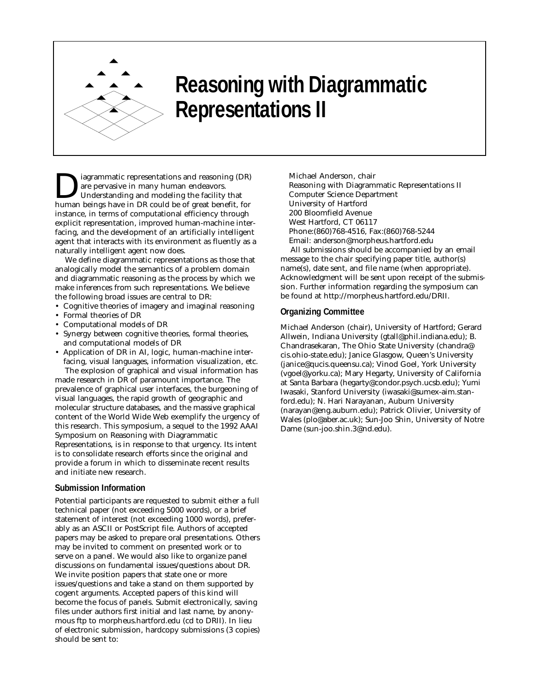

# **Reasoning with Diagrammatic Representations II**

iagrammatic representations and reasoning (DR) are pervasive in many human endeavors. Understanding and modeling the facility that human beings have in DR could be of great benefit, for instance, in terms of computational efficiency through explicit representation, improved human-machine interfacing, and the development of an artificially intelligent agent that interacts with its environment as fluently as a naturally intelligent agent now does.

We define diagrammatic representations as those that analogically model the semantics of a problem domain and diagrammatic reasoning as the process by which we make inferences from such representations. We believe the following broad issues are central to DR:

- Cognitive theories of imagery and imaginal reasoning
- Formal theories of DR
- Computational models of DR
- Synergy between cognitive theories, formal theories, and computational models of DR
- Application of DR in AI, logic, human-machine interfacing, visual languages, information visualization, etc. The explosion of graphical and visual information has

made research in DR of paramount importance. The prevalence of graphical user interfaces, the burgeoning of visual languages, the rapid growth of geographic and molecular structure databases, and the massive graphical content of the World Wide Web exemplify the urgency of this research. This symposium, a sequel to the 1992 AAAI Symposium on Reasoning with Diagrammatic Representations, is in response to that urgency. Its intent is to consolidate research efforts since the original and provide a forum in which to disseminate recent results and initiate new research.

#### **Submission Information**

Potential participants are requested to submit either a full technical paper (not exceeding 5000 words), or a brief statement of interest (not exceeding 1000 words), preferably as an ASCII or PostScript file. Authors of accepted papers may be asked to prepare oral presentations. Others may be invited to comment on presented work or to serve on a panel. We would also like to organize panel discussions on fundamental issues/questions about DR. We invite position papers that state one or more issues/questions and take a stand on them supported by cogent arguments. Accepted papers of this kind will become the focus of panels. Submit electronically, saving files under authors first initial and last name, by anonymous ftp to morpheus.hartford.edu (cd to DRII). In lieu of electronic submission, hardcopy submissions (3 copies) should be sent to:

Michael Anderson, chair Reasoning with Diagrammatic Representations II Computer Science Department University of Hartford 200 Bloomfield Avenue West Hartford, CT 06117 Phone:(860)768-4516, Fax:(860)768-5244 Email: anderson@morpheus.hartford.edu

All submissions should be accompanied by an email message to the chair specifying paper title, author(s) name(s), date sent, and file name (when appropriate). Acknowledgment will be sent upon receipt of the submission. Further information regarding the symposium can be found at http://morpheus.hartford.edu/DRII.

#### **Organizing Committee**

Michael Anderson (chair), University of Hartford; Gerard Allwein, Indiana University (gtall@phil.indiana.edu); B. Chandrasekaran, The Ohio State University (chandra@ cis.ohio-state.edu); Janice Glasgow, Queen's University (janice@qucis.queensu.ca); Vinod Goel, York University (vgoel@yorku.ca); Mary Hegarty, University of California at Santa Barbara (hegarty@condor.psych.ucsb.edu); Yumi Iwasaki, Stanford University (iwasaki@sumex-aim.stanford.edu); N. Hari Narayanan, Auburn University (narayan@eng.auburn.edu); Patrick Olivier, University of Wales (plo@aber.ac.uk); Sun-Joo Shin, University of Notre Dame (sun-joo.shin.3@nd.edu).